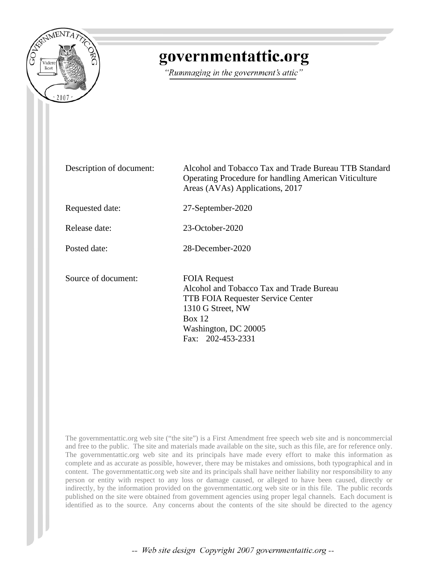

# governmentattic.org

"Rummaging in the government's attic"

| Description of document: | Alcohol and Tobacco Tax and Trade Bureau TTB Standard<br><b>Operating Procedure for handling American Viticulture</b><br>Areas (AVAs) Applications, 2017                                |
|--------------------------|-----------------------------------------------------------------------------------------------------------------------------------------------------------------------------------------|
| Requested date:          | 27-September-2020                                                                                                                                                                       |
| Release date:            | 23-October-2020                                                                                                                                                                         |
| Posted date:             | 28-December-2020                                                                                                                                                                        |
| Source of document:      | <b>FOIA Request</b><br>Alcohol and Tobacco Tax and Trade Bureau<br><b>TTB FOIA Requester Service Center</b><br>1310 G Street, NW<br>Box 12<br>Washington, DC 20005<br>Fax: 202-453-2331 |

The governmentattic.org web site ("the site") is a First Amendment free speech web site and is noncommercial and free to the public. The site and materials made available on the site, such as this file, are for reference only. The governmentattic.org web site and its principals have made every effort to make this information as complete and as accurate as possible, however, there may be mistakes and omissions, both typographical and in content. The governmentattic.org web site and its principals shall have neither liability nor responsibility to any person or entity with respect to any loss or damage caused, or alleged to have been caused, directly or indirectly, by the information provided on the governmentattic.org web site or in this file. The public records published on the site were obtained from government agencies using proper legal channels. Each document is identified as to the source. Any concerns about the contents of the site should be directed to the agency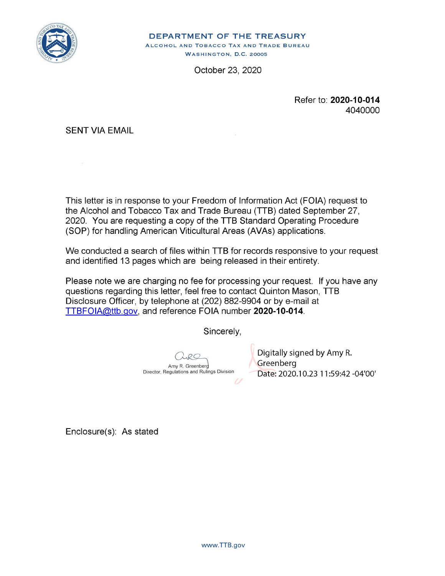

**DEPARTMENT OF THE TREASURY**  ALCOHOL AND TOBACCO TAX AND TRADE BUREAU WASHINGTON, D.C. 20005

October 23, 2020

Refer to: **2020-10-014**  4040000

SENT VIA EMAIL

This letter is in response to your Freedom of Information Act (FOIA) request to the Alcohol and Tobacco Tax and Trade Bureau (TTB) dated September 27, 2020. You are requesting a copy of the TTB Standard Operating Procedure (SOP) for handling American Viticultural Areas (AVAs) applications.

We conducted a search of files within TTB for records responsive to your request and identified 13 pages which are being released in their entirety.

Please note we are charging no fee for processing your request. If you have any questions regarding this letter, feel free to contact Quinton Mason, TTB Disclosure Officer, by telephone at (202) 882-9904 or by e-mail at TTBFOIA@ttb.gov, and reference FOIA number **2020-10-014.** 

Sincerely,

Amy R. Greenber Director, Regulations and Rulings Division  $\overline{U}$ 

Digitally signed by Amy R. Greenberg Date: 2020.10.23 11 :59:42 -04'00'

Enclosure(s): As stated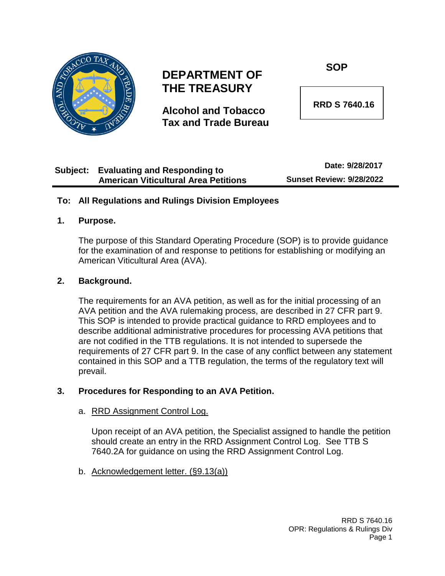

# **DEPARTMENT OF THE TREASURY**

**Alcohol and Tobacco Tax and Trade Bureau** **SOP**

 **RRD S 7640.16**

#### **Subject: Evaluating and Responding to American Viticultural Area Petitions Date: 9/28/2017 Sunset Review: 9/28/2022**

#### **To: All Regulations and Rulings Division Employees**

#### **1. Purpose.**

The purpose of this Standard Operating Procedure (SOP) is to provide guidance for the examination of and response to petitions for establishing or modifying an American Viticultural Area (AVA).

#### **2. Background.**

The requirements for an AVA petition, as well as for the initial processing of an AVA petition and the AVA rulemaking process, are described in 27 CFR part 9. This SOP is intended to provide practical guidance to RRD employees and to describe additional administrative procedures for processing AVA petitions that are not codified in the TTB regulations. It is not intended to supersede the requirements of 27 CFR part 9. In the case of any conflict between any statement contained in this SOP and a TTB regulation, the terms of the regulatory text will prevail.

#### **3. Procedures for Responding to an AVA Petition.**

#### a. RRD Assignment Control Log.

Upon receipt of an AVA petition, the Specialist assigned to handle the petition should create an entry in the RRD Assignment Control Log. See TTB S 7640.2A for guidance on using the RRD Assignment Control Log.

b. Acknowledgement letter. (§9.13(a))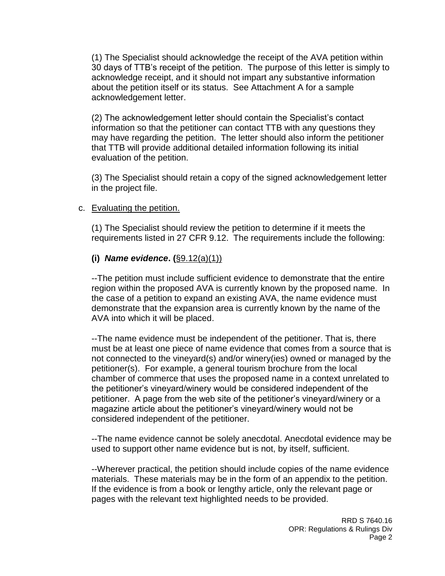(1) The Specialist should acknowledge the receipt of the AVA petition within 30 days of TTB's receipt of the petition. The purpose of this letter is simply to acknowledge receipt, and it should not impart any substantive information about the petition itself or its status. See Attachment A for a sample acknowledgement letter.

(2) The acknowledgement letter should contain the Specialist's contact information so that the petitioner can contact TTB with any questions they may have regarding the petition. The letter should also inform the petitioner that TTB will provide additional detailed information following its initial evaluation of the petition.

(3) The Specialist should retain a copy of the signed acknowledgement letter in the project file.

#### c. Evaluating the petition.

(1) The Specialist should review the petition to determine if it meets the requirements listed in 27 CFR 9.12. The requirements include the following:

#### **(i)** *Name evidence***. (**§9.12(a)(1))

--The petition must include sufficient evidence to demonstrate that the entire region within the proposed AVA is currently known by the proposed name. In the case of a petition to expand an existing AVA, the name evidence must demonstrate that the expansion area is currently known by the name of the AVA into which it will be placed.

--The name evidence must be independent of the petitioner. That is, there must be at least one piece of name evidence that comes from a source that is not connected to the vineyard(s) and/or winery(ies) owned or managed by the petitioner(s). For example, a general tourism brochure from the local chamber of commerce that uses the proposed name in a context unrelated to the petitioner's vineyard/winery would be considered independent of the petitioner. A page from the web site of the petitioner's vineyard/winery or a magazine article about the petitioner's vineyard/winery would not be considered independent of the petitioner.

--The name evidence cannot be solely anecdotal. Anecdotal evidence may be used to support other name evidence but is not, by itself, sufficient.

--Wherever practical, the petition should include copies of the name evidence materials. These materials may be in the form of an appendix to the petition. If the evidence is from a book or lengthy article, only the relevant page or pages with the relevant text highlighted needs to be provided.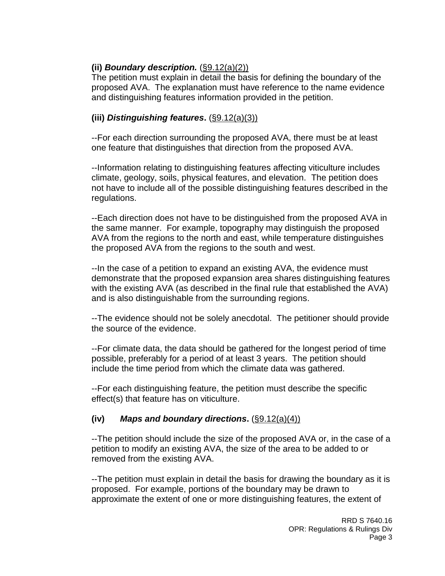#### **(ii)** *Boundary description.* (§9.12(a)(2))

The petition must explain in detail the basis for defining the boundary of the proposed AVA. The explanation must have reference to the name evidence and distinguishing features information provided in the petition.

#### **(iii)** *Distinguishing features***.** (§9.12(a)(3))

--For each direction surrounding the proposed AVA, there must be at least one feature that distinguishes that direction from the proposed AVA.

--Information relating to distinguishing features affecting viticulture includes climate, geology, soils, physical features, and elevation. The petition does not have to include all of the possible distinguishing features described in the regulations.

--Each direction does not have to be distinguished from the proposed AVA in the same manner. For example, topography may distinguish the proposed AVA from the regions to the north and east, while temperature distinguishes the proposed AVA from the regions to the south and west.

--In the case of a petition to expand an existing AVA, the evidence must demonstrate that the proposed expansion area shares distinguishing features with the existing AVA (as described in the final rule that established the AVA) and is also distinguishable from the surrounding regions.

--The evidence should not be solely anecdotal. The petitioner should provide the source of the evidence.

--For climate data, the data should be gathered for the longest period of time possible, preferably for a period of at least 3 years. The petition should include the time period from which the climate data was gathered.

--For each distinguishing feature, the petition must describe the specific effect(s) that feature has on viticulture.

#### **(iv)** *Maps and boundary directions***.** (§9.12(a)(4))

--The petition should include the size of the proposed AVA or, in the case of a petition to modify an existing AVA, the size of the area to be added to or removed from the existing AVA.

--The petition must explain in detail the basis for drawing the boundary as it is proposed. For example, portions of the boundary may be drawn to approximate the extent of one or more distinguishing features, the extent of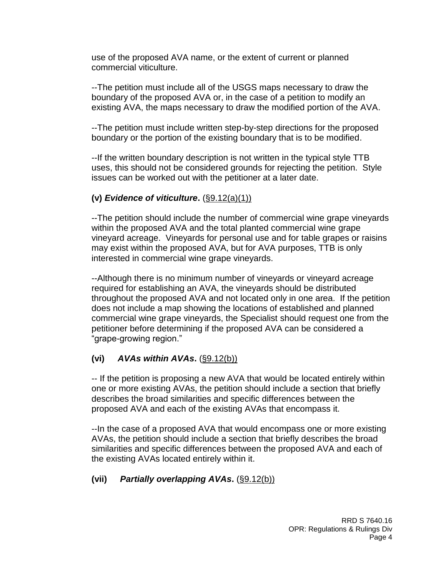use of the proposed AVA name, or the extent of current or planned commercial viticulture.

--The petition must include all of the USGS maps necessary to draw the boundary of the proposed AVA or, in the case of a petition to modify an existing AVA, the maps necessary to draw the modified portion of the AVA.

--The petition must include written step-by-step directions for the proposed boundary or the portion of the existing boundary that is to be modified.

--If the written boundary description is not written in the typical style TTB uses, this should not be considered grounds for rejecting the petition. Style issues can be worked out with the petitioner at a later date.

#### **(v)** *Evidence of viticulture***.** (§9.12(a)(1))

--The petition should include the number of commercial wine grape vineyards within the proposed AVA and the total planted commercial wine grape vineyard acreage. Vineyards for personal use and for table grapes or raisins may exist within the proposed AVA, but for AVA purposes, TTB is only interested in commercial wine grape vineyards.

--Although there is no minimum number of vineyards or vineyard acreage required for establishing an AVA, the vineyards should be distributed throughout the proposed AVA and not located only in one area. If the petition does not include a map showing the locations of established and planned commercial wine grape vineyards, the Specialist should request one from the petitioner before determining if the proposed AVA can be considered a "grape-growing region."

#### **(vi)** *AVAs within AVAs***.** (§9.12(b))

-- If the petition is proposing a new AVA that would be located entirely within one or more existing AVAs, the petition should include a section that briefly describes the broad similarities and specific differences between the proposed AVA and each of the existing AVAs that encompass it.

--In the case of a proposed AVA that would encompass one or more existing AVAs, the petition should include a section that briefly describes the broad similarities and specific differences between the proposed AVA and each of the existing AVAs located entirely within it.

### **(vii)** *Partially overlapping AVAs***.** (§9.12(b))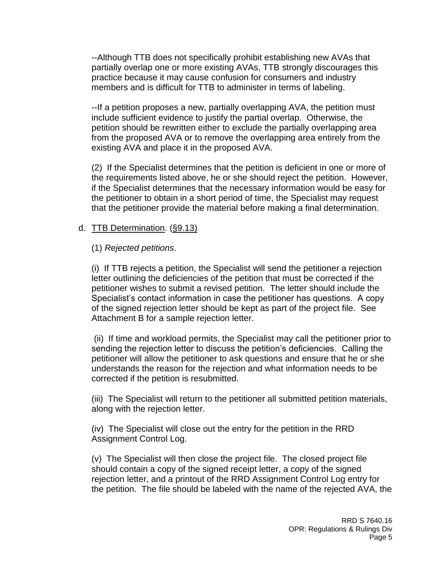--Although TTB does not specifically prohibit establishing new AVAs that partially overlap one or more existing AVAs, TTB strongly discourages this practice because it may cause confusion for consumers and industry members and is difficult for TTB to administer in terms of labeling.

--If a petition proposes a new, partially overlapping AVA, the petition must include sufficient evidence to justify the partial overlap. Otherwise, the petition should be rewritten either to exclude the partially overlapping area from the proposed AVA or to remove the overlapping area entirely from the existing AVA and place it in the proposed AVA.

(2) If the Specialist determines that the petition is deficient in one or more of the requirements listed above, he or she should reject the petition. However, if the Specialist determines that the necessary information would be easy for the petitioner to obtain in a short period of time, the Specialist may request that the petitioner provide the material before making a final determination.

#### d. TTB Determination. (§9.13)

#### (1) *Rejected petitions*.

(i) If TTB rejects a petition, the Specialist will send the petitioner a rejection letter outlining the deficiencies of the petition that must be corrected if the petitioner wishes to submit a revised petition. The letter should include the Specialist's contact information in case the petitioner has questions. A copy of the signed rejection letter should be kept as part of the project file. See Attachment B for a sample rejection letter.

(ii) If time and workload permits, the Specialist may call the petitioner prior to sending the rejection letter to discuss the petition's deficiencies. Calling the petitioner will allow the petitioner to ask questions and ensure that he or she understands the reason for the rejection and what information needs to be corrected if the petition is resubmitted.

(iii) The Specialist will return to the petitioner all submitted petition materials, along with the rejection letter.

(iv) The Specialist will close out the entry for the petition in the RRD Assignment Control Log.

(v) The Specialist will then close the project file. The closed project file should contain a copy of the signed receipt letter, a copy of the signed rejection letter, and a printout of the RRD Assignment Control Log entry for the petition. The file should be labeled with the name of the rejected AVA, the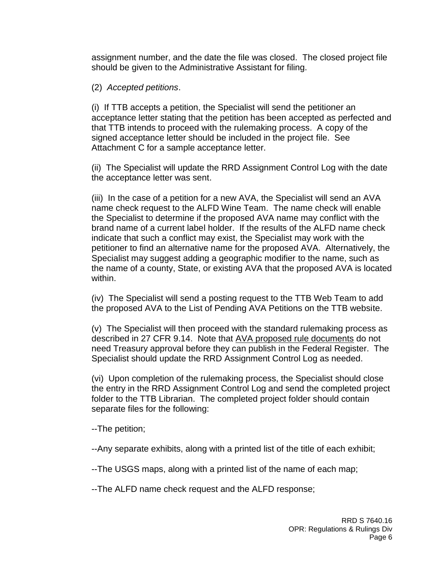assignment number, and the date the file was closed. The closed project file should be given to the Administrative Assistant for filing.

#### (2) *Accepted petitions*.

(i) If TTB accepts a petition, the Specialist will send the petitioner an acceptance letter stating that the petition has been accepted as perfected and that TTB intends to proceed with the rulemaking process. A copy of the signed acceptance letter should be included in the project file. See Attachment C for a sample acceptance letter.

(ii) The Specialist will update the RRD Assignment Control Log with the date the acceptance letter was sent.

(iii) In the case of a petition for a new AVA, the Specialist will send an AVA name check request to the ALFD Wine Team. The name check will enable the Specialist to determine if the proposed AVA name may conflict with the brand name of a current label holder. If the results of the ALFD name check indicate that such a conflict may exist, the Specialist may work with the petitioner to find an alternative name for the proposed AVA. Alternatively, the Specialist may suggest adding a geographic modifier to the name, such as the name of a county, State, or existing AVA that the proposed AVA is located within.

(iv) The Specialist will send a posting request to the TTB Web Team to add the proposed AVA to the List of Pending AVA Petitions on the TTB website.

(v) The Specialist will then proceed with the standard rulemaking process as described in 27 CFR 9.14. Note that AVA proposed rule documents do not need Treasury approval before they can publish in the Federal Register. The Specialist should update the RRD Assignment Control Log as needed.

(vi) Upon completion of the rulemaking process, the Specialist should close the entry in the RRD Assignment Control Log and send the completed project folder to the TTB Librarian. The completed project folder should contain separate files for the following:

--The petition;

--Any separate exhibits, along with a printed list of the title of each exhibit;

--The USGS maps, along with a printed list of the name of each map;

--The ALFD name check request and the ALFD response;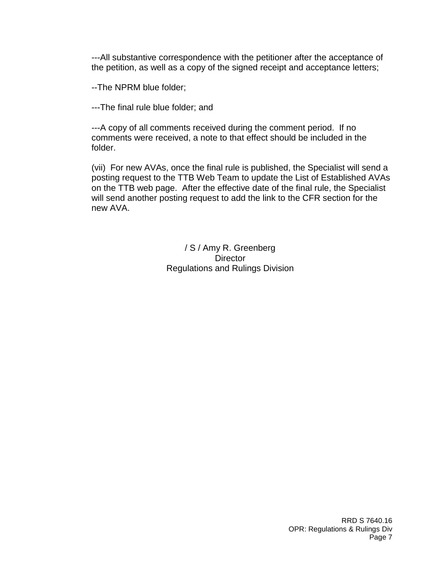---All substantive correspondence with the petitioner after the acceptance of the petition, as well as a copy of the signed receipt and acceptance letters;

--The NPRM blue folder;

---The final rule blue folder; and

---A copy of all comments received during the comment period. If no comments were received, a note to that effect should be included in the folder.

(vii) For new AVAs, once the final rule is published, the Specialist will send a posting request to the TTB Web Team to update the List of Established AVAs on the TTB web page. After the effective date of the final rule, the Specialist will send another posting request to add the link to the CFR section for the new AVA.

> / S / Amy R. Greenberg **Director** Regulations and Rulings Division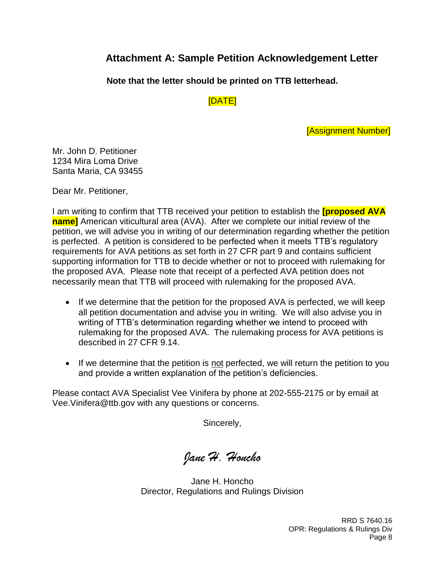# **Attachment A: Sample Petition Acknowledgement Letter**

**Note that the letter should be printed on TTB letterhead.**

[DATE]

[Assignment Number]

Mr. John D. Petitioner 1234 Mira Loma Drive Santa Maria, CA 93455

Dear Mr. Petitioner,

I am writing to confirm that TTB received your petition to establish the **[proposed AVA name]** American viticultural area (AVA). After we complete our initial review of the petition, we will advise you in writing of our determination regarding whether the petition is perfected. A petition is considered to be perfected when it meets TTB's regulatory requirements for AVA petitions as set forth in 27 CFR part 9 and contains sufficient supporting information for TTB to decide whether or not to proceed with rulemaking for the proposed AVA. Please note that receipt of a perfected AVA petition does not necessarily mean that TTB will proceed with rulemaking for the proposed AVA.

- If we determine that the petition for the proposed AVA is perfected, we will keep all petition documentation and advise you in writing. We will also advise you in writing of TTB's determination regarding whether we intend to proceed with rulemaking for the proposed AVA. The rulemaking process for AVA petitions is described in 27 CFR 9.14.
- If we determine that the petition is not perfected, we will return the petition to you and provide a written explanation of the petition's deficiencies.

Please contact AVA Specialist Vee Vinifera by phone at 202-555-2175 or by email at Vee.Vinifera@ttb.gov with any questions or concerns.

Sincerely,

*Jane H. Honcho*

Jane H. Honcho Director, Regulations and Rulings Division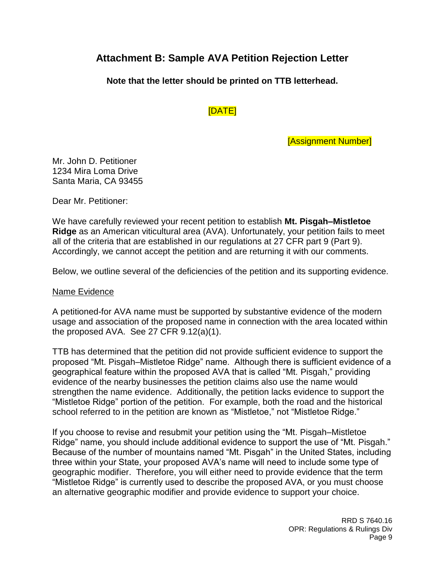# **Attachment B: Sample AVA Petition Rejection Letter**

**Note that the letter should be printed on TTB letterhead.**

[DATE]

[Assignment Number]

Mr. John D. Petitioner 1234 Mira Loma Drive Santa Maria, CA 93455

Dear Mr. Petitioner:

We have carefully reviewed your recent petition to establish **Mt. Pisgah–Mistletoe Ridge** as an American viticultural area (AVA). Unfortunately, your petition fails to meet all of the criteria that are established in our regulations at 27 CFR part 9 (Part 9). Accordingly, we cannot accept the petition and are returning it with our comments.

Below, we outline several of the deficiencies of the petition and its supporting evidence.

#### Name Evidence

A petitioned-for AVA name must be supported by substantive evidence of the modern usage and association of the proposed name in connection with the area located within the proposed AVA. See 27 CFR 9.12(a)(1).

TTB has determined that the petition did not provide sufficient evidence to support the proposed "Mt. Pisgah–Mistletoe Ridge" name. Although there is sufficient evidence of a geographical feature within the proposed AVA that is called "Mt. Pisgah," providing evidence of the nearby businesses the petition claims also use the name would strengthen the name evidence. Additionally, the petition lacks evidence to support the "Mistletoe Ridge" portion of the petition. For example, both the road and the historical school referred to in the petition are known as "Mistletoe," not "Mistletoe Ridge."

If you choose to revise and resubmit your petition using the "Mt. Pisgah–Mistletoe Ridge" name, you should include additional evidence to support the use of "Mt. Pisgah." Because of the number of mountains named "Mt. Pisgah" in the United States, including three within your State, your proposed AVA's name will need to include some type of geographic modifier. Therefore, you will either need to provide evidence that the term "Mistletoe Ridge" is currently used to describe the proposed AVA, or you must choose an alternative geographic modifier and provide evidence to support your choice.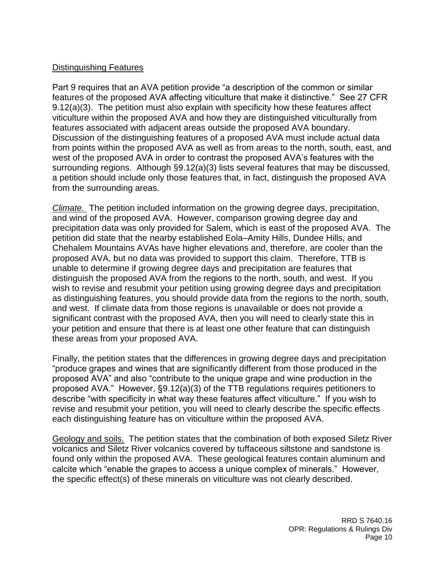#### Distinguishing Features

Part 9 requires that an AVA petition provide "a description of the common or similar features of the proposed AVA affecting viticulture that make it distinctive." See 27 CFR 9.12(a)(3). The petition must also explain with specificity how these features affect viticulture within the proposed AVA and how they are distinguished viticulturally from features associated with adjacent areas outside the proposed AVA boundary. Discussion of the distinguishing features of a proposed AVA must include actual data from points within the proposed AVA as well as from areas to the north, south, east, and west of the proposed AVA in order to contrast the proposed AVA's features with the surrounding regions. Although §9.12(a)(3) lists several features that may be discussed, a petition should include only those features that, in fact, distinguish the proposed AVA from the surrounding areas.

*Climate.* The petition included information on the growing degree days, precipitation, and wind of the proposed AVA. However, comparison growing degree day and precipitation data was only provided for Salem, which is east of the proposed AVA. The petition did state that the nearby established Eola–Amity Hills, Dundee Hills, and Chehalem Mountains AVAs have higher elevations and, therefore, are cooler than the proposed AVA, but no data was provided to support this claim. Therefore, TTB is unable to determine if growing degree days and precipitation are features that distinguish the proposed AVA from the regions to the north, south, and west. If you wish to revise and resubmit your petition using growing degree days and precipitation as distinguishing features, you should provide data from the regions to the north, south, and west. If climate data from those regions is unavailable or does not provide a significant contrast with the proposed AVA, then you will need to clearly state this in your petition and ensure that there is at least one other feature that can distinguish these areas from your proposed AVA.

Finally, the petition states that the differences in growing degree days and precipitation "produce grapes and wines that are significantly different from those produced in the proposed AVA" and also "contribute to the unique grape and wine production in the proposed AVA." However, §9.12(a)(3) of the TTB regulations requires petitioners to describe "with specificity in what way these features affect viticulture." If you wish to revise and resubmit your petition, you will need to clearly describe the specific effects each distinguishing feature has on viticulture within the proposed AVA.

Geology and soils. The petition states that the combination of both exposed Siletz River volcanics and Siletz River volcanics covered by tuffaceous siltstone and sandstone is found only within the proposed AVA. These geological features contain aluminum and calcite which "enable the grapes to access a unique complex of minerals." However, the specific effect(s) of these minerals on viticulture was not clearly described.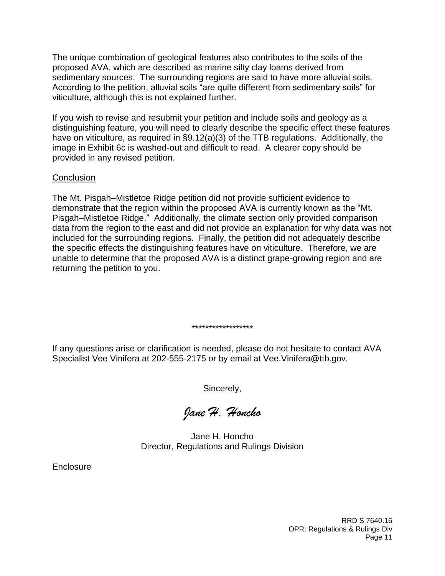The unique combination of geological features also contributes to the soils of the proposed AVA, which are described as marine silty clay loams derived from sedimentary sources. The surrounding regions are said to have more alluvial soils. According to the petition, alluvial soils "are quite different from sedimentary soils" for viticulture, although this is not explained further.

If you wish to revise and resubmit your petition and include soils and geology as a distinguishing feature, you will need to clearly describe the specific effect these features have on viticulture, as required in §9.12(a)(3) of the TTB regulations. Additionally, the image in Exhibit 6c is washed-out and difficult to read. A clearer copy should be provided in any revised petition.

#### **Conclusion**

The Mt. Pisgah–Mistletoe Ridge petition did not provide sufficient evidence to demonstrate that the region within the proposed AVA is currently known as the "Mt. Pisgah–Mistletoe Ridge." Additionally, the climate section only provided comparison data from the region to the east and did not provide an explanation for why data was not included for the surrounding regions. Finally, the petition did not adequately describe the specific effects the distinguishing features have on viticulture. Therefore, we are unable to determine that the proposed AVA is a distinct grape-growing region and are returning the petition to you.

If any questions arise or clarification is needed, please do not hesitate to contact AVA Specialist Vee Vinifera at 202-555-2175 or by email at Vee.Vinifera@ttb.gov.

\*\*\*\*\*\*\*\*\*\*\*\*\*\*\*\*\*\*

Sincerely,

*Jane H. Honcho*

Jane H. Honcho Director, Regulations and Rulings Division

**Enclosure**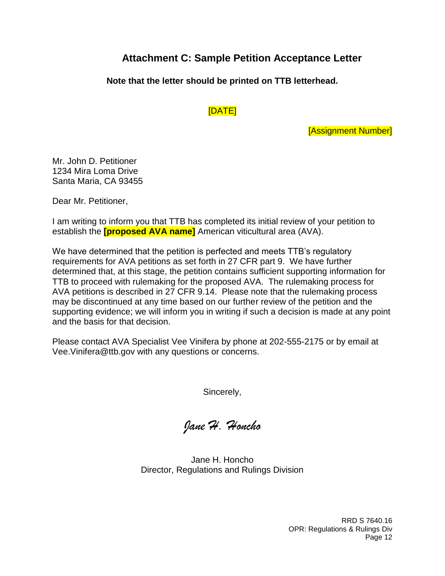# **Attachment C: Sample Petition Acceptance Letter**

#### **Note that the letter should be printed on TTB letterhead.**

#### [DATE]

[Assignment Number]

Mr. John D. Petitioner 1234 Mira Loma Drive Santa Maria, CA 93455

Dear Mr. Petitioner,

I am writing to inform you that TTB has completed its initial review of your petition to establish the **[proposed AVA name]** American viticultural area (AVA).

We have determined that the petition is perfected and meets TTB's regulatory requirements for AVA petitions as set forth in 27 CFR part 9. We have further determined that, at this stage, the petition contains sufficient supporting information for TTB to proceed with rulemaking for the proposed AVA. The rulemaking process for AVA petitions is described in 27 CFR 9.14. Please note that the rulemaking process may be discontinued at any time based on our further review of the petition and the supporting evidence; we will inform you in writing if such a decision is made at any point and the basis for that decision.

Please contact AVA Specialist Vee Vinifera by phone at 202-555-2175 or by email at Vee.Vinifera@ttb.gov with any questions or concerns.

Sincerely,

*Jane H. Honcho*

Jane H. Honcho Director, Regulations and Rulings Division